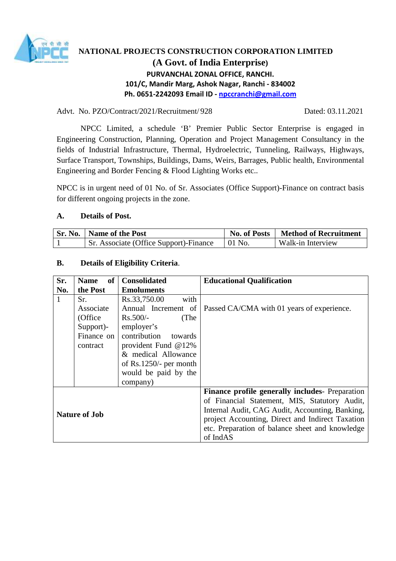

# **NATIONAL PROJECTS CONSTRUCTION CORPORATION LIMITED (A Govt. of India Enterprise) PURVANCHAL ZONAL OFFICE, RANCHI. 101/C, Mandir Marg, Ashok Nagar, Ranchi - 834002 Ph. 0651-2242093 Email ID - npccranchi@gmail.com**

#### Advt. No. PZO/Contract/2021/Recruitment/ 928 Dated: 03.11.2021

NPCC Limited, a schedule 'B' Premier Public Sector Enterprise is engaged in Engineering Construction, Planning, Operation and Project Management Consultancy in the fields of Industrial Infrastructure, Thermal, Hydroelectric, Tunneling, Railways, Highways, Surface Transport, Townships, Buildings, Dams, Weirs, Barrages, Public health, Environmental Engineering and Border Fencing & Flood Lighting Works etc..

NPCC is in urgent need of 01 No. of Sr. Associates (Office Support)-Finance on contract basis for different ongoing projects in the zone.

### **A. Details of Post.**

| <b>Sr. No.</b>   Name of the Post      | <b>No. of Posts</b> | <b>Method of Recruitment</b> |
|----------------------------------------|---------------------|------------------------------|
| Sr. Associate (Office Support)-Finance | $\pm 01$ No.        | Walk-in Interview            |

### **B. Details of Eligibility Criteria**.

| Sr. | of<br><b>Name</b>    | <b>Consolidated</b>      | <b>Educational Qualification</b>                 |
|-----|----------------------|--------------------------|--------------------------------------------------|
| No. | the Post             | <b>Emoluments</b>        |                                                  |
| 1   | Sr.                  | Rs.33,750.00<br>with     |                                                  |
|     | Associate            | Annual Increment of      | Passed CA/CMA with 01 years of experience.       |
|     | (Office              | (The<br>$Rs.500/-$       |                                                  |
|     | Support)-            | employer's               |                                                  |
|     | Finance on           | contribution<br>towards  |                                                  |
|     | contract             | provident Fund $@12\%$   |                                                  |
|     |                      | & medical Allowance      |                                                  |
|     |                      | of $Rs.1250/-$ per month |                                                  |
|     |                      | would be paid by the     |                                                  |
|     |                      | company)                 |                                                  |
|     |                      |                          | Finance profile generally includes- Preparation  |
|     |                      |                          | of Financial Statement, MIS, Statutory Audit,    |
|     | <b>Nature of Job</b> |                          | Internal Audit, CAG Audit, Accounting, Banking,  |
|     |                      |                          | project Accounting, Direct and Indirect Taxation |
|     |                      |                          | etc. Preparation of balance sheet and knowledge  |
|     |                      |                          | of IndAS                                         |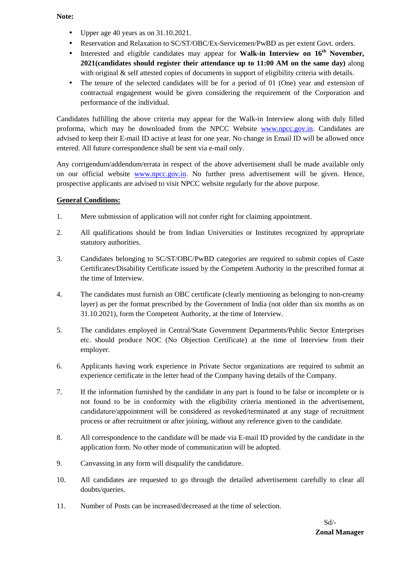**Note:** 

- Upper age 40 years as on 31.10.2021.
- Reservation and Relaxation to SC/ST/OBC/Ex-Servicemen/PwBD as per extent Govt. orders.
- Interested and eligible candidates may appear for **Walk-in Interview on 16<sup>th</sup>** November, **2021(candidates should register their attendance up to 11:00 AM on the same day)** along with original & self attested copies of documents in support of eligibility criteria with details.
- The tenure of the selected candidates will be for a period of 01 (One) year and extension of contractual engagement would be given considering the requirement of the Corporation and performance of the individual.

Candidates fulfilling the above criteria may appear for the Walk-in Interview along with duly filled proforma, which may be downloaded from the NPCC Website www.npcc.gov.in. Candidates are advised to keep their E-mail ID active at least for one year. No change in Email ID will be allowed once entered. All future correspondence shall be sent via e-mail only.

Any corrigendum/addendum/errata in respect of the above advertisement shall be made available only on our official website www.npcc.gov.in. No further press advertisement will be given. Hence, prospective applicants are advised to visit NPCC website regularly for the above purpose.

### **General Conditions:**

- 1. Mere submission of application will not confer right for claiming appointment.
- 2. All qualifications should be from Indian Universities or Institutes recognized by appropriate statutory authorities.
- 3. Candidates belonging to SC/ST/OBC/PwBD categories are required to submit copies of Caste Certificates/Disability Certificate issued by the Competent Authority in the prescribed format at the time of Interview.
- 4. The candidates must furnish an OBC certificate (clearly mentioning as belonging to non-creamy layer) as per the format prescribed by the Government of India (not older than six months as on 31.10.2021), form the Competent Authority, at the time of Interview.
- 5. The candidates employed in Central/State Government Departments/Public Sector Enterprises etc. should produce NOC (No Objection Certificate) at the time of Interview from their employer.
- 6. Applicants having work experience in Private Sector organizations are required to submit an experience certificate in the letter head of the Company having details of the Company.
- 7. If the information furnished by the candidate in any part is found to be false or incomplete or is not found to be in conformity with the eligibility criteria mentioned in the advertisement, candidature/appointment will be considered as revoked/terminated at any stage of recruitment process or after recruitment or after joining, without any reference given to the candidate.
- 8. All correspondence to the candidate will be made via E-mail ID provided by the candidate in the application form. No other mode of communication will be adopted.
- 9. Canvassing in any form will disqualify the candidature.
- 10. All candidates are requested to go through the detailed advertisement carefully to clear all doubts/queries.
- 11. Number of Posts can be increased/decreased at the time of selection.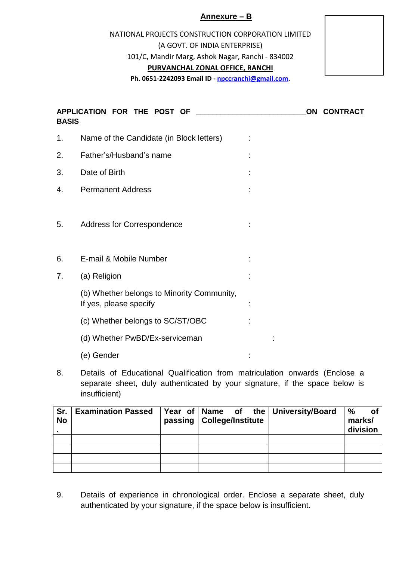# **Annexure – B**

NATIONAL PROJECTS CONSTRUCTION CORPORATION LIMITED (A GOVT. OF INDIA ENTERPRISE) 101/C, Mandir Marg, Ashok Nagar, Ranchi - 834002 **PURVANCHAL ZONAL OFFICE, RANCHI**



**Ph. 0651-2242093 Email ID - npccranchi@gmail.com.** 

| <b>BASIS</b> | APPLICATION FOR THE POST OF                                          |  | ON CONTRACT |
|--------------|----------------------------------------------------------------------|--|-------------|
| 1.           | Name of the Candidate (in Block letters)                             |  |             |
| 2.           | Father's/Husband's name                                              |  |             |
| 3.           | Date of Birth                                                        |  |             |
| 4.           | <b>Permanent Address</b>                                             |  |             |
| 5.           | Address for Correspondence                                           |  |             |
| 6.           | E-mail & Mobile Number                                               |  |             |
| 7.           | (a) Religion                                                         |  |             |
|              | (b) Whether belongs to Minority Community,<br>If yes, please specify |  |             |
|              | (c) Whether belongs to SC/ST/OBC                                     |  |             |
|              | (d) Whether PwBD/Ex-serviceman                                       |  |             |
|              | (e) Gender                                                           |  |             |
|              |                                                                      |  |             |

8. Details of Educational Qualification from matriculation onwards (Enclose a separate sheet, duly authenticated by your signature, if the space below is insufficient)

| Sr.<br><b>No</b> | <b>Examination Passed</b> | Year of Name of the University/Board<br>passing   College/Institute | %<br>.ot<br>marks/<br>division |
|------------------|---------------------------|---------------------------------------------------------------------|--------------------------------|
|                  |                           |                                                                     |                                |
|                  |                           |                                                                     |                                |
|                  |                           |                                                                     |                                |
|                  |                           |                                                                     |                                |

9. Details of experience in chronological order. Enclose a separate sheet, duly authenticated by your signature, if the space below is insufficient.